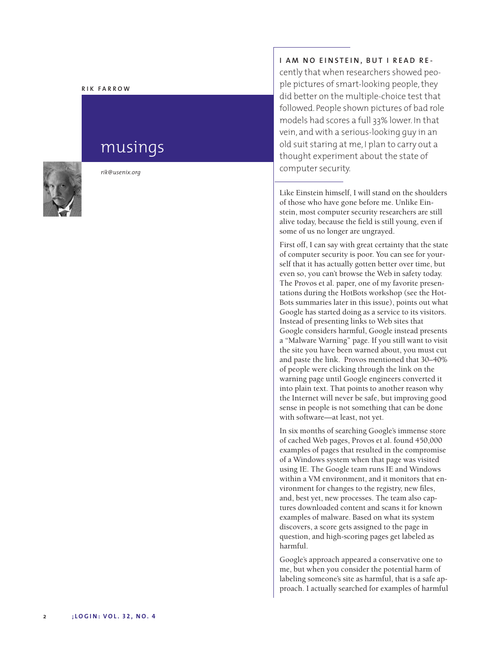#### **R I K F A R R O W**

# musings



*r i k @ u s e n ix . o rg*

# **I** AM NO EINSTEIN, BUT I READ RE-

cently that when researchers showed people pictures of smart-looking people, they did better on the multiple-choice test that followed. People shown pictures of bad role models had scores a full 33% lower. In that vein, and with a serious-looking guy in an old suit staring at me, I plan to carry out a thought experiment about the state of computer security.

Like Einstein himself, I will stand on the shoulders of those who have gone before me. Unlike Einstein, most computer security researchers are still alive today, because the field is still young, even if some of us no longer are ungrayed.

First off, I can say with great certainty that the state of computer security is poor. You can see for yourself that it has actually gotten better over time, but even so, you can't browse the Web in safety today. ' The Provos et al. paper, one of my favorite presentations during the HotBots workshop (see the Hot-Bots summaries later in this issue), points out what Google has started doing as a service to its visitors. Instead of presenting links to Web sites that Google considers harmful, Google instead presents a "Malware Warning" page. If you still want to visit the site you have been warned about, you must cut and paste the link. Provos mentioned that 30–40% of people were clicking through the link on the warning page until Google engineers converted it into plain text. That points to another reason why the Internet will never be safe, but improving good sense in people is not something that can be done with software—at least, not yet.

In six months of searching Google's immense store of cached Web pages, Provos et al. found 450,000 examples of pages that resulted in the compromise of a Windows system when that page was visited using IE. The Google team runs IE and Windows within a VM environment, and it monitors that environment for changes to the registry, new files, and, best yet, new processes. The team also captures downloaded content and scans it for known examples of malware. Based on what its system discovers, a score gets assigned to the page in question, and high-scoring pages get labeled as harmful.

Google's approach appeared a conservative one to me, but when you consider the potential harm of labeling someone's site as harmful, that is a safe approach. I actually searched for examples of harmful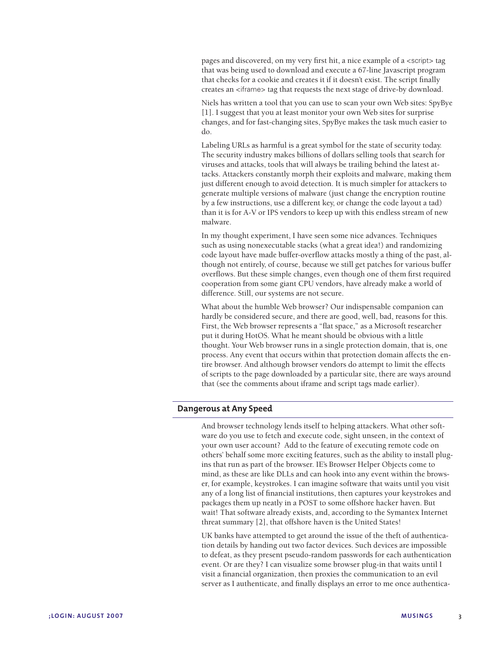pages and discovered, on my very first hit, a nice example of a <script> tag that was being used to download and execute a 67-line Javascript program that checks for a cookie and creates it if it doesn't exist. The script finally creates an <iframe> tag that requests the next stage of drive-by download.

Niels has written a tool that you can use to scan your own Web sites: SpyBye [1]. I suggest that you at least monitor your own Web sites for surprise changes, and for fast-changing sites, SpyBye makes the task much easier to do.

Labeling URLs as harmful is a great symbol for the state of security today. The security industry makes billions of dollars selling tools that search for viruses and attacks, tools that will always be trailing behind the latest attacks. Attackers constantly morph their exploits and malware, making them just different enough to avoid detection. It is much simpler for attackers to generate multiple versions of malware (just change the encryption routine by a few instructions, use a different key, or change the code layout a tad) than it is for A-V or IPS vendors to keep up with this endless stream of new malware.

In my thought experiment, I have seen some nice advances. Techniques such as using nonexecutable stacks (what a great idea!) and randomizing code layout have made buffer-overflow attacks mostly a thing of the past, although not entirely, of course, because we still get patches for various buffer overflows. But these simple changes, even though one of them first required cooperation from some giant CPU vendors, have already make a world of difference. Still, our systems are not secure.

What about the humble Web browser? Our indispensable companion can hardly be considered secure, and there are good, well, bad, reasons for this. First, the Web browser represents a "flat space," as a Microsoft researcher put it during HotOS. What he meant should be obvious with a little thought. Your Web browser runs in a single protection domain, that is, one process. Any event that occurs within that protection domain affects the entire browser. And although browser vendors do attempt to limit the effects of scripts to the page downloaded by a particular site, there are ways around that (see the comments about iframe and script tags made earlier).

### **Dangerous at Any Speed**

And browser technology lends itself to helping attackers. What other software do you use to fetch and execute code, sight unseen, in the context of your own user account? Add to the feature of executing remote code on others' behalf some more exciting features, such as the ability to install plugins that run as part of the browser. IE's Browser Helper Objects come to mind, as these are like DLLs and can hook into any event within the browser, for example, keystrokes. I can imagine software that waits until you visit any of a long list of financial institutions, then captures your keystrokes and packages them up neatly in a POST to some offshore hacker haven. But wait! That software already exists, and, according to the Symantex Internet threat summary [2], that offshore haven is the United States!

UK banks have attempted to get around the issue of the theft of authentication details by handing out two factor devices. Such devices are impossible to defeat, as they present pseudo-random passwords for each authentication event. Or are they? I can visualize some browser plug-in that waits until I visit a financial organization, then proxies the communication to an evil server as I authenticate, and finally displays an error to me once authentica-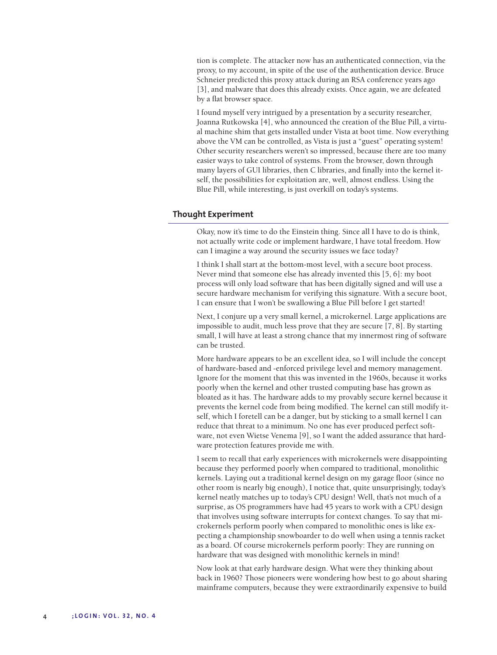tion is complete. The attacker now has an authenticated connection, via the proxy, to my account, in spite of the use of the authentication device. Bruce Schneier predicted this proxy attack during an RSA conference years ago [3], and malware that does this already exists. Once again, we are defeated by a flat browser space.

I found myself very intrigued by a presentation by a security researcher, Joanna Rutkowska [4], who announced the creation of the Blue Pill, a virtual machine shim that gets installed under Vista at boot time. Now everything above the VM can be controlled, as Vista is just a "guest" operating system! Other security researchers weren't so impressed, because there are too many easier ways to take control of systems. From the browser, down through many layers of GUI libraries, then C libraries, and finally into the kernel itself, the possibilities for exploitation are, well, almost endless. Using the Blue Pill, while interesting, is just overkill on today's systems.

#### **Thought Experiment**

Okay, now it's time to do the Einstein thing. Since all I have to do is think, not actually write code or implement hardware, I have total freedom. How can I imagine a way around the security issues we face today?

I think I shall start at the bottom-most level, with a secure boot process. Never mind that someone else has already invented this [5, 6]: my boot process will only load software that has been digitally signed and will use a secure hardware mechanism for verifying this signature. With a secure boot, I can ensure that I won't be swallowing a Blue Pill before I get started!

Next, I conjure up a very small kernel, a microkernel. Large applications are impossible to audit, much less prove that they are secure [7, 8]. By starting small, I will have at least a strong chance that my innermost ring of software can be trusted.

More hardware appears to be an excellent idea, so I will include the concept of hardware-based and -enforced privilege level and memory management. Ignore for the moment that this was invented in the 1960s, because it works poorly when the kernel and other trusted computing base has grown as bloated as it has. The hardware adds to my provably secure kernel because it prevents the kernel code from being modified. The kernel can still modify itself, which I foretell can be a danger, but by sticking to a small kernel I can reduce that threat to a minimum. No one has ever produced perfect software, not even Wietse Venema [9], so I want the added assurance that hardware protection features provide me with.

I seem to recall that early experiences with microkernels were disappointing because they performed poorly when compared to traditional, monolithic kernels. Laying out a traditional kernel design on my garage floor (since no other room is nearly big enough), I notice that, quite unsurprisingly, today's kernel neatly matches up to today's CPU design! Well, that's not much of a surprise, as OS programmers have had 45 years to work with a CPU design that involves using software interrupts for context changes. To say that microkernels perform poorly when compared to monolithic ones is like expecting a championship snowboarder to do well when using a tennis racket as a board. Of course microkernels perform poorly: They are running on hardware that was designed with monolithic kernels in mind!

Now look at that early hardware design. What were they thinking about back in 1960? Those pioneers were wondering how best to go about sharing mainframe computers, because they were extraordinarily expensive to build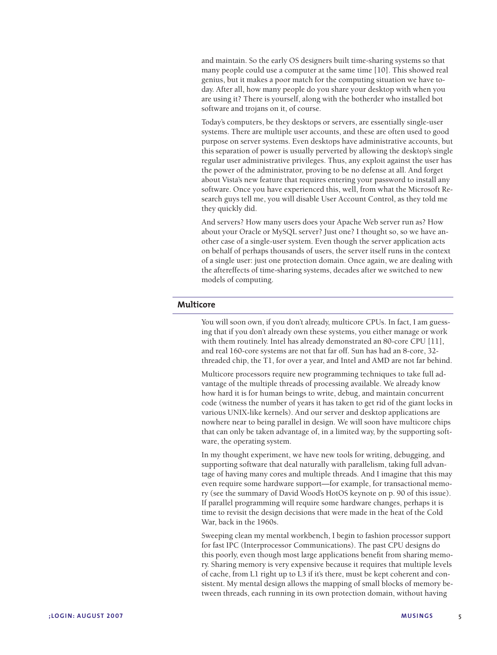and maintain. So the early OS designers built time-sharing systems so that many people could use a computer at the same time [10]. This showed real genius, but it makes a poor match for the computing situation we have today. After all, how many people do you share your desktop with when you are using it? There is yourself, along with the botherder who installed bot software and trojans on it, of course.

Today's computers, be they desktops or servers, are essentially single-user systems. There are multiple user accounts, and these are often used to good purpose on server systems. Even desktops have administrative accounts, but this separation of power is usually perverted by allowing the desktop's single regular user administrative privileges. Thus, any exploit against the user has the power of the administrator, proving to be no defense at all. And forget about Vista's new feature that requires entering your password to install any software. Once you have experienced this, well, from what the Microsoft Research guys tell me, you will disable User Account Control, as they told me they quickly did.

And servers? How many users does your Apache Web server run as? How about your Oracle or MySQL server? Just one? I thought so, so we have another case of a single-user system. Even though the server application acts on behalf of perhaps thousands of users, the server itself runs in the context of a single user: just one protection domain. Once again, we are dealing with the aftereffects of time-sharing systems, decades after we switched to new models of computing.

## **Multicore**

You will soon own, if you don't already, multicore CPUs. In fact, I am guessing that if you don't already own these systems, you either manage or work with them routinely. Intel has already demonstrated an 80-core CPU [11], and real 160-core systems are not that far off. Sun has had an 8-core, 32 threaded chip, the T1, for over a year, and Intel and AMD are not far behind.

Multicore processors require new programming techniques to take full advantage of the multiple threads of processing available. We already know how hard it is for human beings to write, debug, and maintain concurrent code (witness the number of years it has taken to get rid of the giant locks in various UNIX-like kernels). And our server and desktop applications are nowhere near to being parallel in design. We will soon have multicore chips that can only be taken advantage of, in a limited way, by the supporting software, the operating system.

In my thought experiment, we have new tools for writing, debugging, and supporting software that deal naturally with parallelism, taking full advantage of having many cores and multiple threads. And I imagine that this may even require some hardware support—for example, for transactional memory (see the summary of David Wood's HotOS keynote on p. 90 of this issue). If parallel programming will require some hardware changes, perhaps it is time to revisit the design decisions that were made in the heat of the Cold War, back in the 1960s.

Sweeping clean my mental workbench, I begin to fashion processor support for fast IPC (Interprocessor Communications). The past CPU designs do this poorly, even though most large applications benefit from sharing memory. Sharing memory is very expensive because it requires that multiple levels of cache, from L1 right up to L3 if it's there, must be kept coherent and consistent. My mental design allows the mapping of small blocks of memory between threads, each running in its own protection domain, without having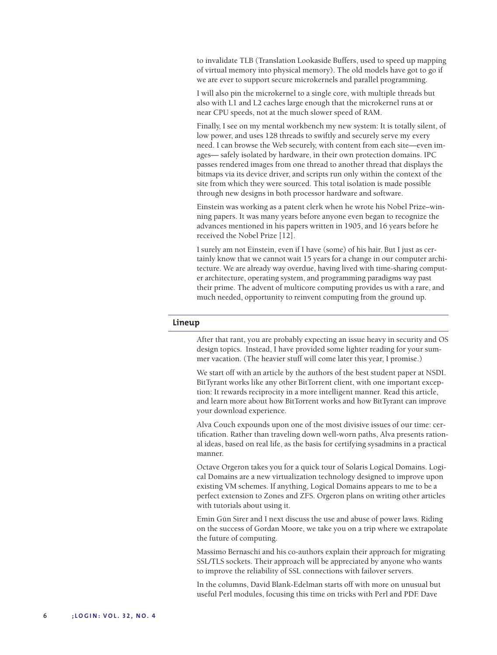to invalidate TLB (Translation Lookaside Buffers, used to speed up mapping of virtual memory into physical memory). The old models have got to go if we are ever to support secure microkernels and parallel programming.

I will also pin the microkernel to a single core, with multiple threads but also with L1 and L2 caches large enough that the microkernel runs at or near CPU speeds, not at the much slower speed of RAM.

Finally, I see on my mental workbench my new system: It is totally silent, of low power, and uses 128 threads to swiftly and securely serve my every need. I can browse the Web securely, with content from each site—even images— safely isolated by hardware, in their own protection domains. IPC passes rendered images from one thread to another thread that displays the bitmaps via its device driver, and scripts run only within the context of the site from which they were sourced. This total isolation is made possible through new designs in both processor hardware and software.

Einstein was working as a patent clerk when he wrote his Nobel Prize–winning papers. It was many years before anyone even began to recognize the advances mentioned in his papers written in 1905, and 16 years before he received the Nobel Prize [12].

I surely am not Einstein, even if I have (some) of his hair. But I just as certainly know that we cannot wait 15 years for a change in our computer architecture. We are already way overdue, having lived with time-sharing computer architecture, operating system, and programming paradigms way past their prime. The advent of multicore computing provides us with a rare, and much needed, opportunity to reinvent computing from the ground up.

#### **Lineup**

After that rant, you are probably expecting an issue heavy in security and OS design topics. Instead, I have provided some lighter reading for your summer vacation. (The heavier stuff will come later this year, I promise.)

We start off with an article by the authors of the best student paper at NSDI. BitTyrant works like any other BitTorrent client, with one important exception: It rewards reciprocity in a more intelligent manner. Read this article, and learn more about how BitTorrent works and how BitTyrant can improve your download experience.

Alva Couch expounds upon one of the most divisive issues of our time: certification. Rather than traveling down well-worn paths, Alva presents rational ideas, based on real life, as the basis for certifying sysadmins in a practical manner.

Octave Orgeron takes you for a quick tour of Solaris Logical Domains. Logical Domains are a new virtualization technology designed to improve upon existing VM schemes. If anything, Logical Domains appears to me to be a perfect extension to Zones and ZFS. Orgeron plans on writing other articles with tutorials about using it.

Emin Gün Sirer and I next discuss the use and abuse of power laws. Riding on the success of Gordan Moore, we take you on a trip where we extrapolate the future of computing.

Massimo Bernaschi and his co-authors explain their approach for migrating SSL/TLS sockets. Their approach will be appreciated by anyone who wants to improve the reliability of SSL connections with failover servers.

In the columns, David Blank-Edelman starts off with more on unusual but useful Perl modules, focusing this time on tricks with Perl and PDF. Dave